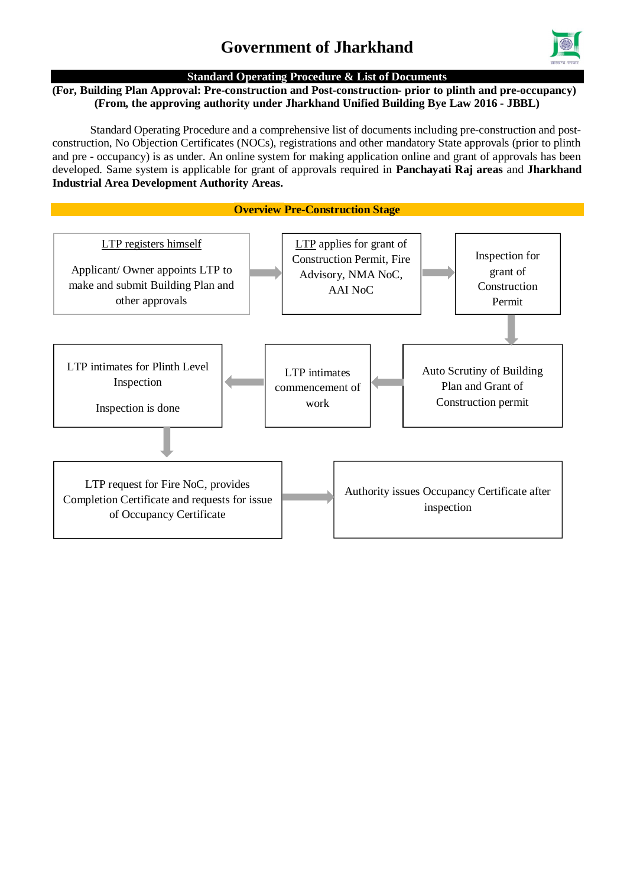

#### **Standard Operating Procedure & List of Documents**

#### **(For, Building Plan Approval: Pre-construction and Post-construction- prior to plinth and pre-occupancy) (From, the approving authority under Jharkhand Unified Building Bye Law 2016 - JBBL)**

Standard Operating Procedure and a comprehensive list of documents including pre-construction and postconstruction, No Objection Certificates (NOCs), registrations and other mandatory State approvals (prior to plinth and pre - occupancy) is as under. An online system for making application online and grant of approvals has been developed. Same system is applicable for grant of approvals required in **Panchayati Raj areas** and **Jharkhand Industrial Area Development Authority Areas.**

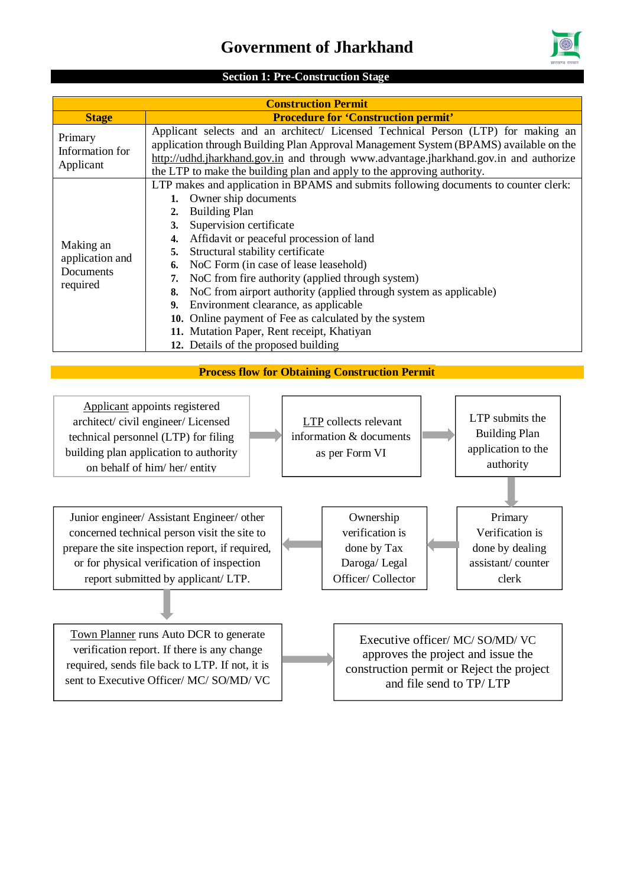

#### **Section 1: Pre-Construction Stage**

| <b>Construction Permit</b>                            |                                                                                                                                                                                                                                                                                                                                                                                                                                                                                                                                                                                                                                              |  |  |  |
|-------------------------------------------------------|----------------------------------------------------------------------------------------------------------------------------------------------------------------------------------------------------------------------------------------------------------------------------------------------------------------------------------------------------------------------------------------------------------------------------------------------------------------------------------------------------------------------------------------------------------------------------------------------------------------------------------------------|--|--|--|
| <b>Stage</b>                                          | <b>Procedure for 'Construction permit'</b>                                                                                                                                                                                                                                                                                                                                                                                                                                                                                                                                                                                                   |  |  |  |
| Primary<br>Information for<br>Applicant               | Applicant selects and an architect/ Licensed Technical Person (LTP) for making an<br>application through Building Plan Approval Management System (BPAMS) available on the<br>http://udhd.jharkhand.gov.in and through www.advantage.jharkhand.gov.in and authorize<br>the LTP to make the building plan and apply to the approving authority.                                                                                                                                                                                                                                                                                               |  |  |  |
| Making an<br>application and<br>Documents<br>required | LTP makes and application in BPAMS and submits following documents to counter clerk:<br>Owner ship documents<br><b>Building Plan</b><br>2.<br>Supervision certificate<br>3.<br>Affidavit or peaceful procession of land<br>4.<br>Structural stability certificate<br>NoC Form (in case of lease leasehold)<br>6.<br>NoC from fire authority (applied through system)<br>NoC from airport authority (applied through system as applicable)<br>8.<br>Environment clearance, as applicable<br>9.<br>10. Online payment of Fee as calculated by the system<br>11. Mutation Paper, Rent receipt, Khatiyan<br>12. Details of the proposed building |  |  |  |

#### **Process flow for Obtaining Construction Permit**

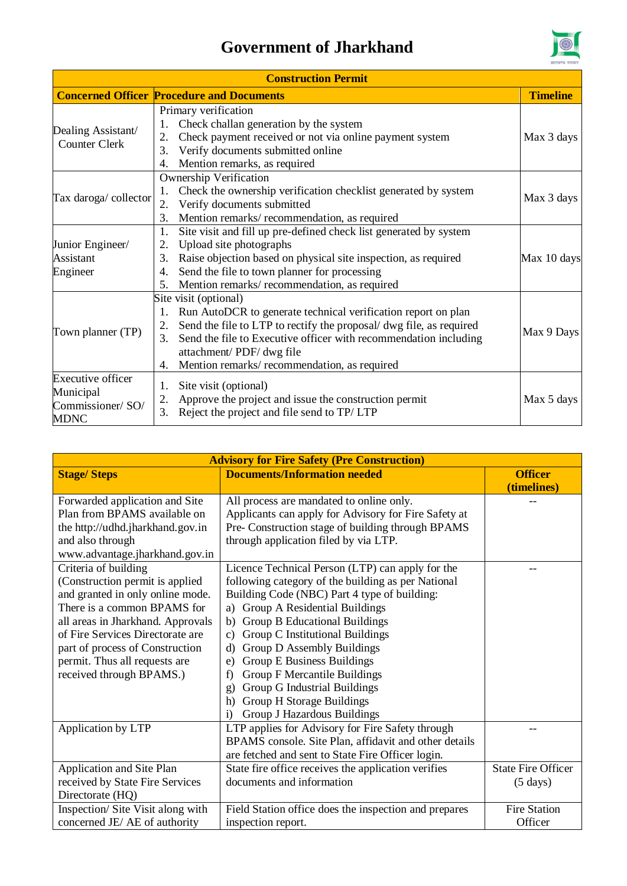

| <b>Construction Permit</b>                                                                                                                                                                                                                                                                                                                       |                                                                                                                                                                                                                                                                                                                               |             |  |  |
|--------------------------------------------------------------------------------------------------------------------------------------------------------------------------------------------------------------------------------------------------------------------------------------------------------------------------------------------------|-------------------------------------------------------------------------------------------------------------------------------------------------------------------------------------------------------------------------------------------------------------------------------------------------------------------------------|-------------|--|--|
| <b>Concerned Officer Procedure and Documents</b>                                                                                                                                                                                                                                                                                                 |                                                                                                                                                                                                                                                                                                                               |             |  |  |
| Dealing Assistant/<br><b>Counter Clerk</b>                                                                                                                                                                                                                                                                                                       | Primary verification<br>Check challan generation by the system<br>Check payment received or not via online payment system<br>2.<br>Verify documents submitted online<br>3.<br>Mention remarks, as required<br>4.                                                                                                              |             |  |  |
| <b>Ownership Verification</b><br>Check the ownership verification checklist generated by system<br>Tax daroga/collector<br>Verify documents submitted<br>2.<br>Mention remarks/ recommendation, as required<br>3.                                                                                                                                |                                                                                                                                                                                                                                                                                                                               |             |  |  |
| Site visit and fill up pre-defined check list generated by system<br>1.<br>Upload site photographs<br>Junior Engineer/<br>2.<br>Raise objection based on physical site inspection, as required<br><b>Assistant</b><br>3.<br>Send the file to town planner for processing<br>Engineer<br>4.<br>Mention remarks/ recommendation, as required<br>5. |                                                                                                                                                                                                                                                                                                                               | Max 10 days |  |  |
| Town planner (TP)                                                                                                                                                                                                                                                                                                                                | Site visit (optional)<br>Run AutoDCR to generate technical verification report on plan<br>1.<br>Send the file to LTP to rectify the proposal/ dwg file, as required<br>Send the file to Executive officer with recommendation including<br>3.<br>attachment/PDF/dwg file<br>Mention remarks/recommendation, as required<br>4. | Max 9 Days  |  |  |
| <b>Executive officer</b><br>Site visit (optional)<br>1.<br>Municipal<br>Approve the project and issue the construction permit<br>2.<br>Commissioner/SO/<br>Reject the project and file send to TP/LTP<br>3.<br><b>MDNC</b>                                                                                                                       |                                                                                                                                                                                                                                                                                                                               | Max 5 days  |  |  |

| <b>Advisory for Fire Safety (Pre Construction)</b> |                                                       |                           |  |
|----------------------------------------------------|-------------------------------------------------------|---------------------------|--|
| <b>Stage/Steps</b>                                 | <b>Documents/Information needed</b>                   | <b>Officer</b>            |  |
|                                                    |                                                       | (timelines)               |  |
| Forwarded application and Site                     | All process are mandated to online only.              |                           |  |
| Plan from BPAMS available on                       | Applicants can apply for Advisory for Fire Safety at  |                           |  |
| the http://udhd.jharkhand.gov.in                   | Pre- Construction stage of building through BPAMS     |                           |  |
| and also through                                   | through application filed by via LTP.                 |                           |  |
| www.advantage.jharkhand.gov.in                     |                                                       |                           |  |
| Criteria of building                               | Licence Technical Person (LTP) can apply for the      |                           |  |
| (Construction permit is applied                    | following category of the building as per National    |                           |  |
| and granted in only online mode.                   | Building Code (NBC) Part 4 type of building:          |                           |  |
| There is a common BPAMS for                        | Group A Residential Buildings<br>a)                   |                           |  |
| all areas in Jharkhand. Approvals                  | Group B Educational Buildings<br>b)                   |                           |  |
| of Fire Services Directorate are                   | Group C Institutional Buildings<br>$\mathbf{c})$      |                           |  |
| part of process of Construction                    | Group D Assembly Buildings<br>$\rm d$                 |                           |  |
| permit. Thus all requests are                      | <b>Group E Business Buildings</b><br>e)               |                           |  |
| received through BPAMS.)                           | <b>Group F Mercantile Buildings</b><br>f)             |                           |  |
|                                                    | Group G Industrial Buildings<br>g)                    |                           |  |
|                                                    | Group H Storage Buildings<br>h)                       |                           |  |
|                                                    | Group J Hazardous Buildings<br>$\mathbf{i}$           |                           |  |
| Application by LTP                                 | LTP applies for Advisory for Fire Safety through      |                           |  |
|                                                    | BPAMS console. Site Plan, affidavit and other details |                           |  |
|                                                    | are fetched and sent to State Fire Officer login.     |                           |  |
| Application and Site Plan                          | State fire office receives the application verifies   | <b>State Fire Officer</b> |  |
| received by State Fire Services                    | documents and information                             | $(5 \text{ days})$        |  |
| Directorate (HQ)                                   |                                                       |                           |  |
| Inspection/ Site Visit along with                  | Field Station office does the inspection and prepares | <b>Fire Station</b>       |  |
| concerned JE/ AE of authority                      | inspection report.                                    | Officer                   |  |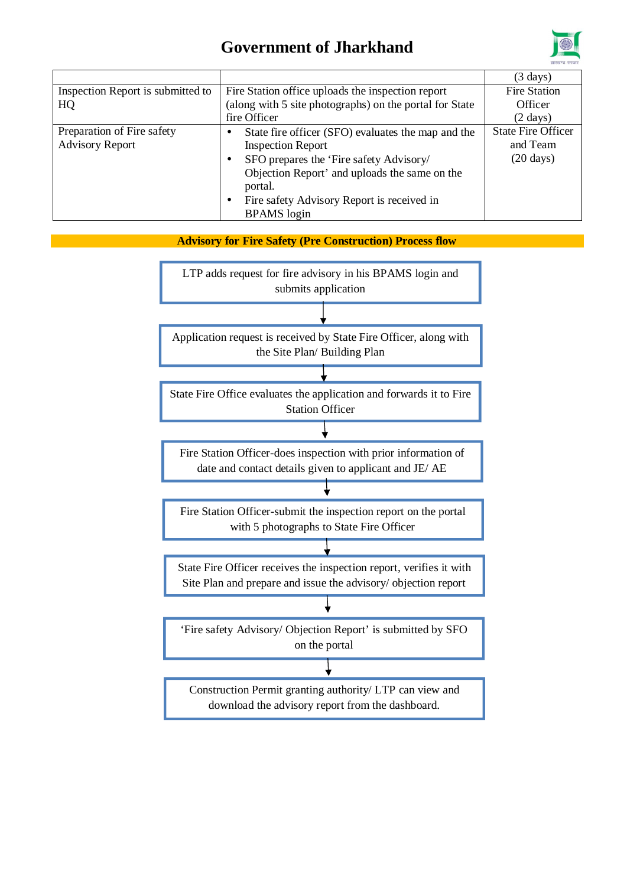

|                                   |                                                         | $(3 \text{ days})$        |
|-----------------------------------|---------------------------------------------------------|---------------------------|
| Inspection Report is submitted to | Fire Station office uploads the inspection report       | <b>Fire Station</b>       |
| HQ                                | (along with 5 site photographs) on the portal for State | Officer                   |
|                                   | fire Officer                                            | $(2 \text{ days})$        |
| Preparation of Fire safety        | State fire officer (SFO) evaluates the map and the      | <b>State Fire Officer</b> |
| <b>Advisory Report</b>            | <b>Inspection Report</b>                                | and Team                  |
|                                   | SFO prepares the 'Fire safety Advisory/                 | $(20 \text{ days})$       |
|                                   | Objection Report' and uploads the same on the           |                           |
|                                   | portal.                                                 |                           |
|                                   | Fire safety Advisory Report is received in              |                           |
|                                   | <b>BPAMS</b> login                                      |                           |

**Advisory for Fire Safety (Pre Construction) Process flow**

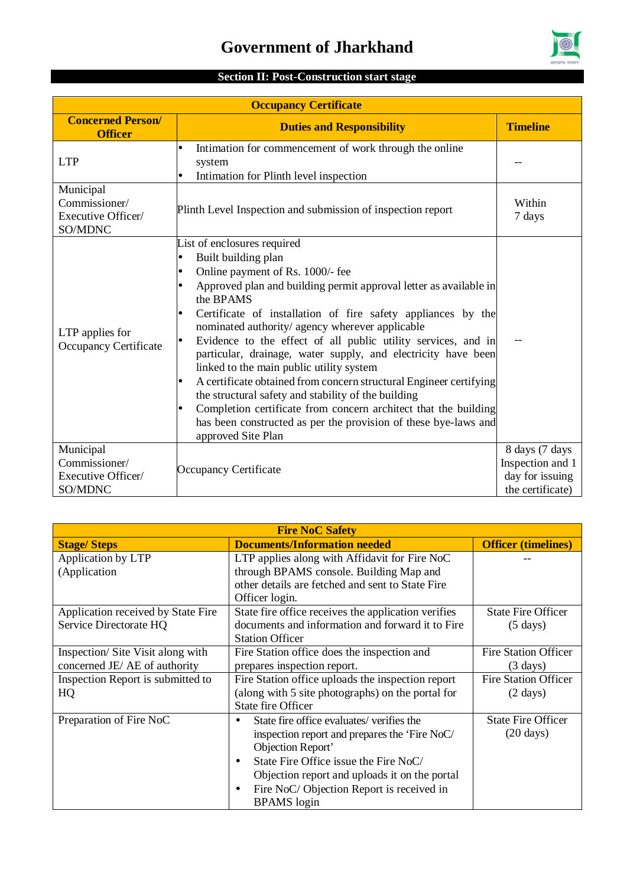

### **Section II: Post-Construction start stage**

| <b>Occupancy Certificate</b>                                                   |                                                                                                                                                                                                                                                                                                                                                                                                                                                                                                                                                                                                                                                                                                                                                                    |                                                                           |  |
|--------------------------------------------------------------------------------|--------------------------------------------------------------------------------------------------------------------------------------------------------------------------------------------------------------------------------------------------------------------------------------------------------------------------------------------------------------------------------------------------------------------------------------------------------------------------------------------------------------------------------------------------------------------------------------------------------------------------------------------------------------------------------------------------------------------------------------------------------------------|---------------------------------------------------------------------------|--|
| <b>Concerned Person/</b><br><b>Duties and Responsibility</b><br><b>Officer</b> |                                                                                                                                                                                                                                                                                                                                                                                                                                                                                                                                                                                                                                                                                                                                                                    | <b>Timeline</b>                                                           |  |
| <b>LTP</b>                                                                     | Intimation for commencement of work through the online<br>system<br>Intimation for Plinth level inspection                                                                                                                                                                                                                                                                                                                                                                                                                                                                                                                                                                                                                                                         |                                                                           |  |
| Municipal<br>Commissioner/<br>Executive Officer/<br>SO/MDNC                    | Plinth Level Inspection and submission of inspection report                                                                                                                                                                                                                                                                                                                                                                                                                                                                                                                                                                                                                                                                                                        | Within<br>7 days                                                          |  |
| LTP applies for<br>Occupancy Certificate                                       | List of enclosures required<br>Built building plan<br>Online payment of Rs. 1000/- fee<br>Approved plan and building permit approval letter as available in<br>the BPAMS<br>Certificate of installation of fire safety appliances by the<br>nominated authority/ agency wherever applicable<br>Evidence to the effect of all public utility services, and in<br>particular, drainage, water supply, and electricity have been<br>linked to the main public utility system<br>A certificate obtained from concern structural Engineer certifying<br>the structural safety and stability of the building<br>Completion certificate from concern architect that the building<br>has been constructed as per the provision of these bye-laws and<br>approved Site Plan |                                                                           |  |
| Municipal<br>Commissioner/<br>Executive Officer/<br>SO/MDNC                    | Occupancy Certificate                                                                                                                                                                                                                                                                                                                                                                                                                                                                                                                                                                                                                                                                                                                                              | 8 days (7 days<br>Inspection and 1<br>day for issuing<br>the certificate) |  |

| <b>Fire NoC Safety</b>                                    |                                                             |                             |  |  |
|-----------------------------------------------------------|-------------------------------------------------------------|-----------------------------|--|--|
| <b>Documents/Information needed</b><br><b>Stage/Steps</b> |                                                             | <b>Officer (timelines)</b>  |  |  |
| Application by LTP                                        | LTP applies along with Affidavit for Fire NoC               |                             |  |  |
| (Application                                              | through BPAMS console. Building Map and                     |                             |  |  |
|                                                           | other details are fetched and sent to State Fire            |                             |  |  |
|                                                           | Officer login.                                              |                             |  |  |
| Application received by State Fire                        | State fire office receives the application verifies         | <b>State Fire Officer</b>   |  |  |
| Service Directorate HQ                                    | documents and information and forward it to Fire            | $(5 \text{ days})$          |  |  |
|                                                           | <b>Station Officer</b>                                      |                             |  |  |
| Inspection/Site Visit along with                          | Fire Station office does the inspection and                 | <b>Fire Station Officer</b> |  |  |
| concerned JE/ AE of authority                             | prepares inspection report.                                 | $(3 \text{ days})$          |  |  |
| Inspection Report is submitted to                         | Fire Station office uploads the inspection report           | <b>Fire Station Officer</b> |  |  |
| HQ                                                        | (along with 5 site photographs) on the portal for           | $(2 \text{ days})$          |  |  |
|                                                           | <b>State fire Officer</b>                                   |                             |  |  |
| Preparation of Fire NoC                                   | State fire office evaluates/verifies the<br>$\blacksquare$  | <b>State Fire Officer</b>   |  |  |
|                                                           | inspection report and prepares the 'Fire NoC/               | $(20 \text{ days})$         |  |  |
|                                                           | Objection Report'                                           |                             |  |  |
|                                                           | State Fire Office issue the Fire NoC/<br>$\blacksquare$     |                             |  |  |
|                                                           | Objection report and uploads it on the portal               |                             |  |  |
|                                                           | Fire NoC/ Objection Report is received in<br>$\blacksquare$ |                             |  |  |
|                                                           | <b>BPAMS</b> login                                          |                             |  |  |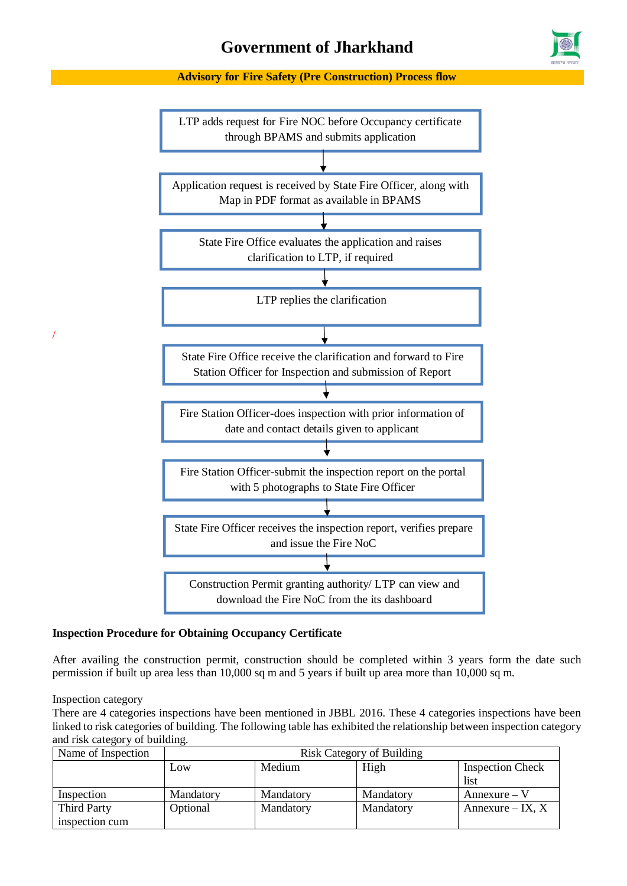#### **Advisory for Fire Safety (Pre Construction) Process flow**



#### **Inspection Procedure for Obtaining Occupancy Certificate**

After availing the construction permit, construction should be completed within 3 years form the date such permission if built up area less than 10,000 sq m and 5 years if built up area more than 10,000 sq m.

Inspection category

/

There are 4 categories inspections have been mentioned in JBBL 2016. These 4 categories inspections have been linked to risk categories of building. The following table has exhibited the relationship between inspection category and risk category of building.

| Name of Inspection | <b>Risk Category of Building</b> |           |           |                         |
|--------------------|----------------------------------|-----------|-----------|-------------------------|
|                    | Low                              | Medium    | High      | <b>Inspection Check</b> |
|                    |                                  |           |           | list                    |
| Inspection         | Mandatory                        | Mandatory | Mandatory | $Annexure - V$          |
| <b>Third Party</b> | Optional                         | Mandatory | Mandatory | Annexure – IX, $X$      |
| inspection cum     |                                  |           |           |                         |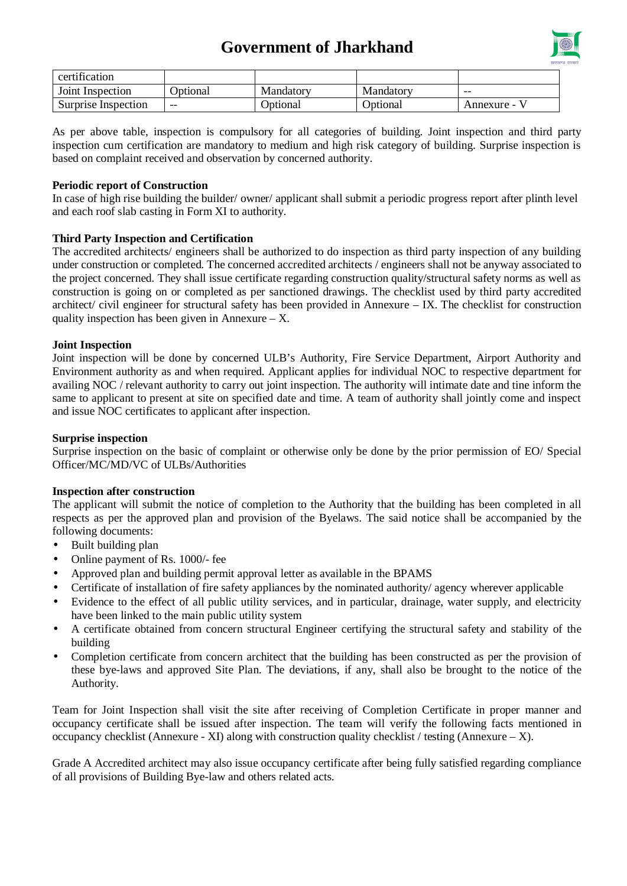

| certification       |          |           |                  |            |
|---------------------|----------|-----------|------------------|------------|
| Joint Inspection    | Jpt1onal | Mandatory | Mandatory        | $- -$      |
| Surprise Inspection | $- -$    | Jptional  | <b>D</b> otional | Annexure - |

As per above table, inspection is compulsory for all categories of building. Joint inspection and third party inspection cum certification are mandatory to medium and high risk category of building. Surprise inspection is based on complaint received and observation by concerned authority.

#### **Periodic report of Construction**

In case of high rise building the builder/ owner/ applicant shall submit a periodic progress report after plinth level and each roof slab casting in Form XI to authority.

#### **Third Party Inspection and Certification**

The accredited architects/ engineers shall be authorized to do inspection as third party inspection of any building under construction or completed. The concerned accredited architects / engineers shall not be anyway associated to the project concerned. They shall issue certificate regarding construction quality/structural safety norms as well as construction is going on or completed as per sanctioned drawings. The checklist used by third party accredited architect/ civil engineer for structural safety has been provided in Annexure – IX. The checklist for construction quality inspection has been given in Annexure  $- X$ .

#### **Joint Inspection**

Joint inspection will be done by concerned ULB's Authority, Fire Service Department, Airport Authority and Environment authority as and when required. Applicant applies for individual NOC to respective department for availing NOC / relevant authority to carry out joint inspection. The authority will intimate date and tine inform the same to applicant to present at site on specified date and time. A team of authority shall jointly come and inspect and issue NOC certificates to applicant after inspection.

#### **Surprise inspection**

Surprise inspection on the basic of complaint or otherwise only be done by the prior permission of EO/ Special Officer/MC/MD/VC of ULBs/Authorities

#### **Inspection after construction**

The applicant will submit the notice of completion to the Authority that the building has been completed in all respects as per the approved plan and provision of the Byelaws. The said notice shall be accompanied by the following documents:

- Built building plan L.
- Online payment of Rs. 1000/- fee t.
- Approved plan and building permit approval letter as available in the BPAMS  $\blacksquare$
- Certificate of installation of fire safety appliances by the nominated authority/ agency wherever applicable
- Evidence to the effect of all public utility services, and in particular, drainage, water supply, and electricity have been linked to the main public utility system
- A certificate obtained from concern structural Engineer certifying the structural safety and stability of the building
- Completion certificate from concern architect that the building has been constructed as per the provision of these bye-laws and approved Site Plan. The deviations, if any, shall also be brought to the notice of the Authority.

Team for Joint Inspection shall visit the site after receiving of Completion Certificate in proper manner and occupancy certificate shall be issued after inspection. The team will verify the following facts mentioned in occupancy checklist (Annexure - XI) along with construction quality checklist / testing (Annexure – X).

Grade A Accredited architect may also issue occupancy certificate after being fully satisfied regarding compliance of all provisions of Building Bye-law and others related acts.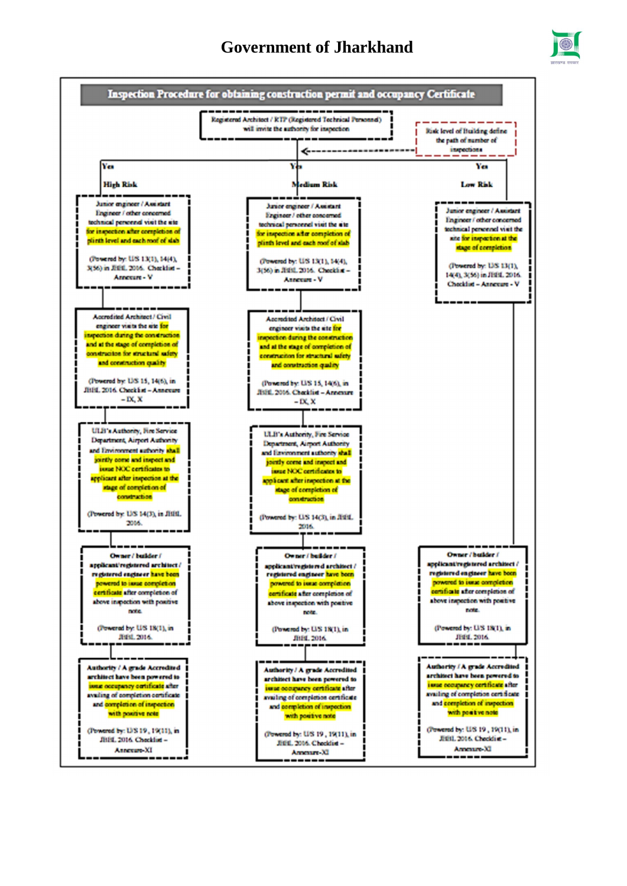